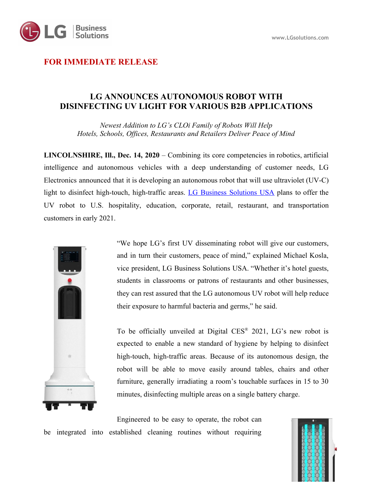

## **FOR IMMEDIATE RELEASE**

## **LG ANNOUNCES AUTONOMOUS ROBOT WITH DISINFECTING UV LIGHT FOR VARIOUS B2B APPLICATIONS**

*Newest Addition to LG's CLOi Family of Robots Will Help Hotels, Schools, Offices, Restaurants and Retailers Deliver Peace of Mind*

**LINCOLNSHIRE, Ill., Dec. 14, 2020** – Combining its core competencies in robotics, artificial intelligence and autonomous vehicles with a deep understanding of customer needs, LG Electronics announced that it is developing an autonomous robot that will use ultraviolet (UV-C) light to disinfect high-touch, high-traffic areas. LG Business [Solutions](https://www.lg.com/us/business/commercial-displays?utm_source=Press_Release&utm_medium=Referral&utm_campaign=b2b_2020_05_ID_health_protocol) USA plans to offer the UV robot to U.S. hospitality, education, corporate, retail, restaurant, and transportation customers in early 2021.



"We hope LG's first UV disseminating robot will give our customers, and in turn their customers, peace of mind," explained Michael Kosla, vice president, LG Business Solutions USA. "Whether it's hotel guests, students in classrooms or patrons of restaurants and other businesses, they can rest assured that the LG autonomous UV robot will help reduce their exposure to harmful bacteria and germs," he said.

To be officially unveiled at Digital CES® 2021, LG's new robot is expected to enable a new standard of hygiene by helping to disinfect high-touch, high-traffic areas. Because of its autonomous design, the robot will be able to move easily around tables, chairs and other furniture, generally irradiating a room's touchable surfaces in 15 to 30 minutes, disinfecting multiple areas on a single battery charge.

Engineered to be easy to operate, the robot can be integrated into established cleaning routines without requiring

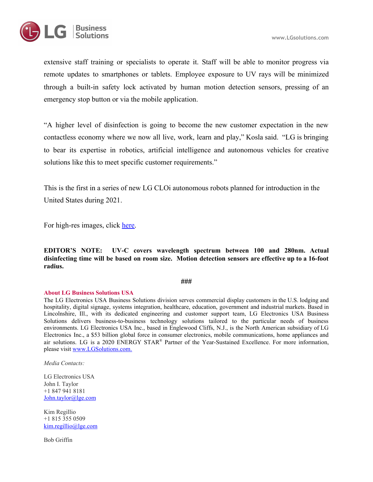

extensive staff training or specialists to operate it. Staff will be able to monitor progress via remote updates to smartphones or tablets. Employee exposure to UV rays will be minimized through a built-in safety lock activated by human motion detection sensors, pressing of an emergency stop button or via the mobile application.

"A higher level of disinfection is going to become the new customer expectation in the new contactless economy where we now all live, work, learn and play," Kosla said. "LG is bringing to bear its expertise in robotics, artificial intelligence and autonomous vehicles for creative solutions like this to meet specific customer requirements."

This is the first in a series of new LG CLOi autonomous robots planned for introduction in the United States during 2021.

For high-res images, click [here.](https://drive.google.com/drive/folders/1zXDs7MWCXNACgwV_neGorNjNAKNtg_Zz?usp=sharing)

**EDITOR'S NOTE: UV-C covers wavelength spectrum between 100 and 280nm. Actual disinfecting time will be based on room size. Motion detection sensors are effective up to a 16-foot radius.**

**###**

## **About LG Business Solutions USA**

The LG Electronics USA Business Solutions division serves commercial display customers in the U.S. lodging and hospitality, digital signage, systems integration, healthcare, education, government and industrial markets. Based in Lincolnshire, Ill., with its dedicated engineering and customer support team, LG Electronics USA Business Solutions delivers business-to-business technology solutions tailored to the particular needs of business environments. LG Electronics USA Inc., based in Englewood Cliffs, N.J., is the North American subsidiary of LG Electronics Inc., a \$53 billion global force in consumer electronics, mobile communications, home appliances and air solutions. LG is a 2020 ENERGY STAR ® Partner of the Year-Sustained Excellence. For more information, please visit [www.LGSolutions.com.](http://www.lgsolutions.com./)

*Media Contacts:*

LG Electronics USA John I. Taylor +1 847 941 8181 [John.taylor@lge.com](mailto:John.taylor@lge.com)

Kim Regillio +1 815 355 0509 [kim.regillio@lge.com](mailto:kim.regillio@lge.com)

Bob Griffin